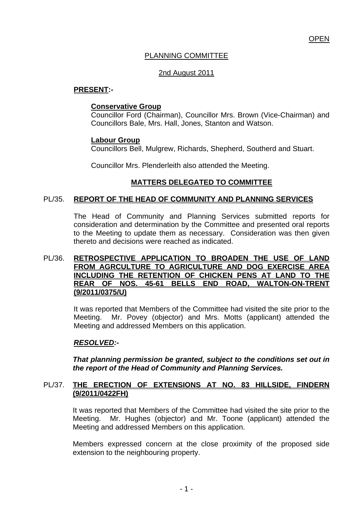## PLANNING COMMITTEE

## 2nd August 2011

## **PRESENT:-**

#### **Conservative Group**

Councillor Ford (Chairman), Councillor Mrs. Brown (Vice-Chairman) and Councillors Bale, Mrs. Hall, Jones, Stanton and Watson.

#### **Labour Group**

Councillors Bell, Mulgrew, Richards, Shepherd, Southerd and Stuart.

Councillor Mrs. Plenderleith also attended the Meeting.

## **MATTERS DELEGATED TO COMMITTEE**

#### PL/35. **REPORT OF THE HEAD OF COMMUNITY AND PLANNING SERVICES**

 The Head of Community and Planning Services submitted reports for consideration and determination by the Committee and presented oral reports to the Meeting to update them as necessary. Consideration was then given thereto and decisions were reached as indicated.

#### PL/36. **RETROSPECTIVE APPLICATION TO BROADEN THE USE OF LAND FROM AGRCULTURE TO AGRICULTURE AND DOG EXERCISE AREA INCLUDING THE RETENTION OF CHICKEN PENS AT LAND TO THE REAR OF NOS. 45-61 BELLS END ROAD, WALTON-ON-TRENT (9/2011/0375/U)**

It was reported that Members of the Committee had visited the site prior to the Meeting. Mr. Povey (objector) and Mrs. Motts (applicant) attended the Meeting and addressed Members on this application.

#### *RESOLVED:-*

*That planning permission be granted, subject to the conditions set out in the report of the Head of Community and Planning Services.* 

#### PL/37. **THE ERECTION OF EXTENSIONS AT NO. 83 HILLSIDE, FINDERN (9/2011/0422FH)**

It was reported that Members of the Committee had visited the site prior to the Meeting. Mr. Hughes (objector) and Mr. Toone (applicant) attended the Meeting and addressed Members on this application.

Members expressed concern at the close proximity of the proposed side extension to the neighbouring property.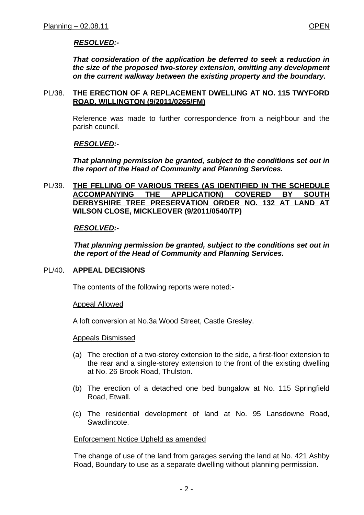*That consideration of the application be deferred to seek a reduction in the size of the proposed two-storey extension, omitting any development on the current walkway between the existing property and the boundary.* 

#### PL/38. **THE ERECTION OF A REPLACEMENT DWELLING AT NO. 115 TWYFORD ROAD, WILLINGTON (9/2011/0265/FM)**

Reference was made to further correspondence from a neighbour and the parish council.

## *RESOLVED:-*

*That planning permission be granted, subject to the conditions set out in the report of the Head of Community and Planning Services.* 

#### PL/39. **THE FELLING OF VARIOUS TREES (AS IDENTIFIED IN THE SCHEDULE ACCOMPANYING THE APPLICATION) COVERED BY SOUTH DERBYSHIRE TREE PRESERVATION ORDER NO. 132 AT LAND AT WILSON CLOSE, MICKLEOVER (9/2011/0540/TP)**

#### *RESOLVED:-*

*That planning permission be granted, subject to the conditions set out in the report of the Head of Community and Planning Services.* 

#### PL/40. **APPEAL DECISIONS**

The contents of the following reports were noted:-

Appeal Allowed

A loft conversion at No.3a Wood Street, Castle Gresley.

#### Appeals Dismissed

- (a) The erection of a two-storey extension to the side, a first-floor extension to the rear and a single-storey extension to the front of the existing dwelling at No. 26 Brook Road, Thulston.
- (b) The erection of a detached one bed bungalow at No. 115 Springfield Road, Etwall.
- (c) The residential development of land at No. 95 Lansdowne Road, **Swadlincote**

#### Enforcement Notice Upheld as amended

The change of use of the land from garages serving the land at No. 421 Ashby Road, Boundary to use as a separate dwelling without planning permission.